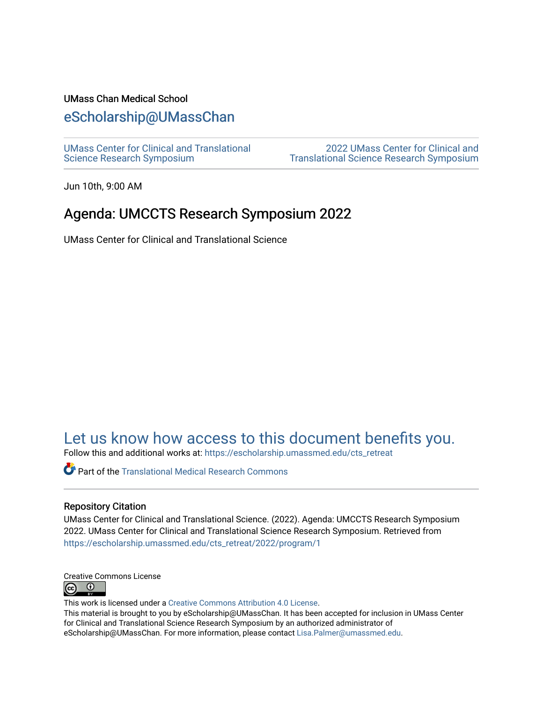### UMass Chan Medical School

## [eScholarship@UMassChan](https://escholarship.umassmed.edu/)

[UMass Center for Clinical and Translational](https://escholarship.umassmed.edu/cts_retreat)  [Science Research Symposium](https://escholarship.umassmed.edu/cts_retreat)

[2022 UMass Center for Clinical and](https://escholarship.umassmed.edu/cts_retreat/2022)  [Translational Science Research Symposium](https://escholarship.umassmed.edu/cts_retreat/2022) 

Jun 10th, 9:00 AM

## Agenda: UMCCTS Research Symposium 2022

UMass Center for Clinical and Translational Science

# [Let us know how access to this document benefits you.](https://arcsapps.umassmed.edu/redcap/surveys/?s=XWRHNF9EJE)

Follow this and additional works at: [https://escholarship.umassmed.edu/cts\\_retreat](https://escholarship.umassmed.edu/cts_retreat?utm_source=escholarship.umassmed.edu%2Fcts_retreat%2F2022%2Fprogram%2F1&utm_medium=PDF&utm_campaign=PDFCoverPages) 

**C** Part of the Translational Medical Research Commons

### Repository Citation

UMass Center for Clinical and Translational Science. (2022). Agenda: UMCCTS Research Symposium 2022. UMass Center for Clinical and Translational Science Research Symposium. Retrieved from [https://escholarship.umassmed.edu/cts\\_retreat/2022/program/1](https://escholarship.umassmed.edu/cts_retreat/2022/program/1?utm_source=escholarship.umassmed.edu%2Fcts_retreat%2F2022%2Fprogram%2F1&utm_medium=PDF&utm_campaign=PDFCoverPages)



This work is licensed under a [Creative Commons Attribution 4.0 License](http://creativecommons.org/licenses/by/4.0/).

This material is brought to you by eScholarship@UMassChan. It has been accepted for inclusion in UMass Center for Clinical and Translational Science Research Symposium by an authorized administrator of eScholarship@UMassChan. For more information, please contact [Lisa.Palmer@umassmed.edu](mailto:Lisa.Palmer@umassmed.edu).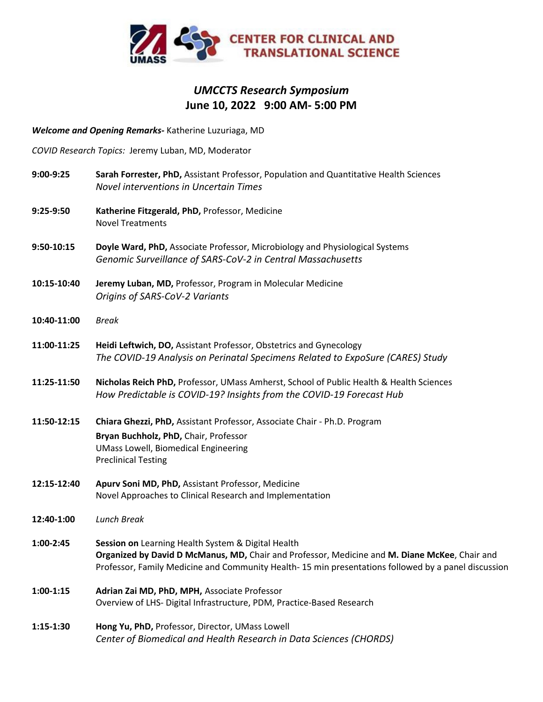

## *UMCCTS Research Symposium* **June 10, 2022 9:00 AM- 5:00 PM**

*Welcome and Opening Remarks-* Katherine Luzuriaga, MD

*COVID Research Topics:* Jeremy Luban, MD, Moderator

| 9:00-9:25   | Sarah Forrester, PhD, Assistant Professor, Population and Quantitative Health Sciences<br><b>Novel interventions in Uncertain Times</b>                                                                                                                     |
|-------------|-------------------------------------------------------------------------------------------------------------------------------------------------------------------------------------------------------------------------------------------------------------|
| 9:25-9:50   | Katherine Fitzgerald, PhD, Professor, Medicine<br><b>Novel Treatments</b>                                                                                                                                                                                   |
| 9:50-10:15  | Doyle Ward, PhD, Associate Professor, Microbiology and Physiological Systems<br>Genomic Surveillance of SARS-CoV-2 in Central Massachusetts                                                                                                                 |
| 10:15-10:40 | Jeremy Luban, MD, Professor, Program in Molecular Medicine<br>Origins of SARS-CoV-2 Variants                                                                                                                                                                |
| 10:40-11:00 | <b>Break</b>                                                                                                                                                                                                                                                |
| 11:00-11:25 | Heidi Leftwich, DO, Assistant Professor, Obstetrics and Gynecology<br>The COVID-19 Analysis on Perinatal Specimens Related to ExpoSure (CARES) Study                                                                                                        |
| 11:25-11:50 | Nicholas Reich PhD, Professor, UMass Amherst, School of Public Health & Health Sciences<br>How Predictable is COVID-19? Insights from the COVID-19 Forecast Hub                                                                                             |
| 11:50-12:15 | Chiara Ghezzi, PhD, Assistant Professor, Associate Chair - Ph.D. Program<br>Bryan Buchholz, PhD, Chair, Professor<br><b>UMass Lowell, Biomedical Engineering</b><br><b>Preclinical Testing</b>                                                              |
| 12:15-12:40 | Apurv Soni MD, PhD, Assistant Professor, Medicine<br>Novel Approaches to Clinical Research and Implementation                                                                                                                                               |
| 12:40-1:00  | <b>Lunch Break</b>                                                                                                                                                                                                                                          |
| 1:00-2:45   | Session on Learning Health System & Digital Health<br>Organized by David D McManus, MD, Chair and Professor, Medicine and M. Diane McKee, Chair and<br>Professor, Family Medicine and Community Health- 15 min presentations followed by a panel discussion |
| $1:00-1:15$ | Adrian Zai MD, PhD, MPH, Associate Professor<br>Overview of LHS- Digital Infrastructure, PDM, Practice-Based Research                                                                                                                                       |
| $1:15-1:30$ | Hong Yu, PhD, Professor, Director, UMass Lowell<br>Center of Biomedical and Health Research in Data Sciences (CHORDS)                                                                                                                                       |